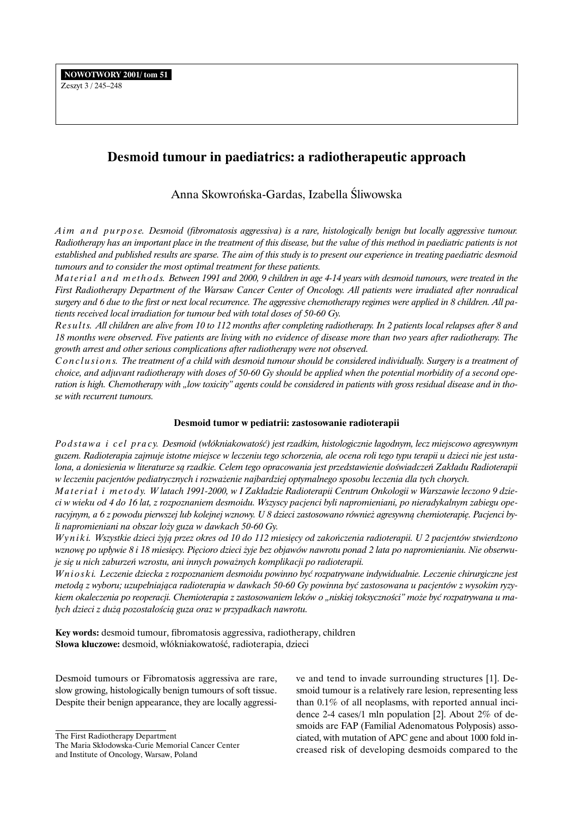# **Desmoid tumour in paediatrics: a radiotherapeutic approach**

Anna Skowroƒska-Gardas, Izabella Âliwowska

*A i m a n d p u r p o s e. Desmoid (fibromatosis aggressiva) is a rare, histologically benign but locally aggressive tumour. Radiotherapy has an important place in the treatment of this disease, but the value of this method in paediatric patients is not established and published results are sparse. The aim of this study is to present our experience in treating paediatric desmoid tumours and to consider the most optimal treatment for these patients.*

*Material and methods. Between 1991 and 2000, 9 children in age 4-14 years with desmoid tumours, were treated in the First Radiotherapy Department of the Warsaw Cancer Center of Oncology. All patients were irradiated after nonradical surgery and 6 due to the first or next local recurrence. The aggressive chemotherapy regimes were applied in 8 children. All patients received local irradiation for tumour bed with total doses of 50-60 Gy.*

*Re s u l t s. All children are alive from 10 to 112 months after completing radiotherapy. In 2 patients local relapses after 8 and 18 months were observed. Five patients are living with no evidence of disease more than two years after radiotherapy. The growth arrest and other serious complications after radiotherapy were not observed.*

*C o n c l u s i o n s. The treatment of a child with desmoid tumour should be considered individually. Surgery is a treatment of choice, and adjuvant radiotherapy with doses of 50-60 Gy should be applied when the potential morbidity of a second operation is high. Chemotherapy with "low toxicity" agents could be considered in patients with gross residual disease and in those with recurrent tumours.*

## **Desmoid tumor w pediatrii: zastosowanie radioterapii**

*Po d s t a w a i c e l p r a c y. Desmoid (w∏ókniakowatoÊç) jest rzadkim, histologicznie ∏agodnym, lecz miejscowo agresywnym guzem. Radioterapia zajmuje istotne miejsce w leczeniu tego schorzenia, ale ocena roli tego typu terapii u dzieci nie jest ustalona, a doniesienia w literaturze są rzadkie. Celem tego opracowania jest przedstawienie doświadczeń Zakładu Radioterapii w leczeniu pacjentów pediatrycznych i rozwa˝enie najbardziej optymalnego sposobu leczenia dla tych chorych.*

*Materiał i metody. W latach 1991-2000, w I Zakładzie Radioterapii Centrum Onkologii w Warszawie leczono 9 dzieci w wieku od 4 do 16 lat, z rozpoznaniem desmoidu. Wszyscy pacjenci byli napromieniani, po nieradykalnym zabiegu ope*racyjnym, a 6 z powodu pierwszej lub kolejnej wznowy. U 8 dzieci zastosowano również agresywną chemioterapię. Pacjenci by*li napromieniani na obszar lo˝y guza w dawkach 50-60 Gy.*

*Wyniki. Wszystkie dzieci żyją przez okres od 10 do 112 miesięcy od zakończenia radioterapii. U 2 pacjentów stwierdzono* wznowę po upływie 8 i 18 miesięcy. Pięcioro dzieci żyje bez objawów nawrotu ponad 2 lata po napromienianiu. Nie obserwuje się u nich zaburzeń wzrostu, ani innych poważnych komplikacji po radioterapii.

*W n i o s k i. Leczenie dziecka z rozpoznaniem desmoidu powinno byç rozpatrywane indywidualnie. Leczenie chirurgiczne jest metoda z wyboru; uzupełniająca radioterapia w dawkach 50-60 Gy powinna być zastosowana u pacjentów z wysokim ryzy*kiem okaleczenia po reoperacji. Chemioterapia z zastosowaniem leków o "niskiej toksyczności" może być rozpatrywana u ma-*∏ych dzieci z du˝à pozosta∏oÊcià guza oraz w przypadkach nawrotu.*

**Key words:** desmoid tumour, fibromatosis aggressiva, radiotherapy, children Słowa kluczowe: desmoid, włókniakowatość, radioterapia, dzieci

Desmoid tumours or Fibromatosis aggressiva are rare, slow growing, histologically benign tumours of soft tissue. Despite their benign appearance, they are locally aggressi-

The First Radiotherapy Department

ve and tend to invade surrounding structures [1]. Desmoid tumour is a relatively rare lesion, representing less than 0.1% of all neoplasms, with reported annual incidence 2-4 cases/1 mln population [2]. About 2% of desmoids are FAP (Familial Adenomatous Polyposis) associated, with mutation of APC gene and about 1000 fold increased risk of developing desmoids compared to the

The Maria Skłodowska-Curie Memorial Cancer Center and Institute of Oncology, Warsaw, Poland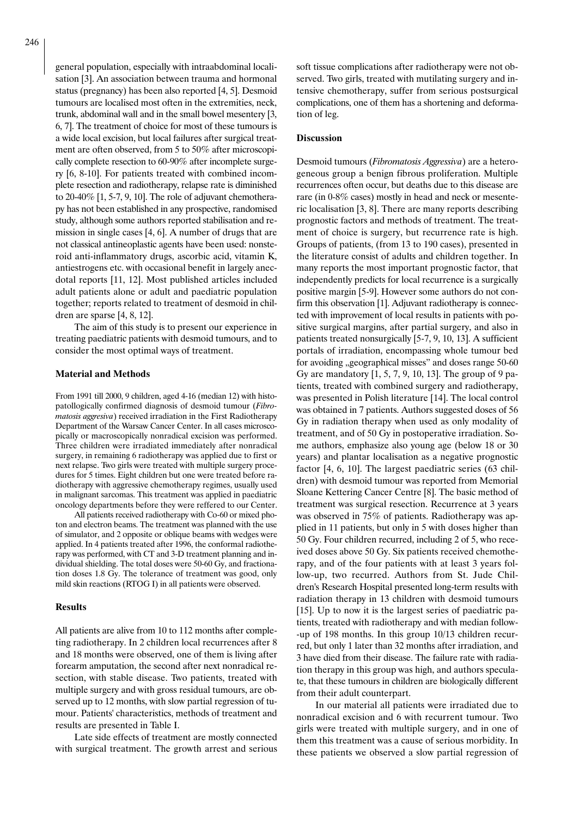general population, especially with intraabdominal localisation [3]. An association between trauma and hormonal status (pregnancy) has been also reported [4, 5]. Desmoid tumours are localised most often in the extremities, neck, trunk, abdominal wall and in the small bowel mesentery [3, 6, 7]. The treatment of choice for most of these tumours is a wide local excision, but local failures after surgical treatment are often observed, from 5 to 50% after microscopically complete resection to 60-90% after incomplete surgery [6, 8-10]. For patients treated with combined incomplete resection and radiotherapy, relapse rate is diminished to 20-40% [1, 5-7, 9, 10]. The role of adjuvant chemotherapy has not been established in any prospective, randomised study, although some authors reported stabilisation and remission in single cases [4, 6]. A number of drugs that are not classical antineoplastic agents have been used: nonsteroid anti-inflammatory drugs, ascorbic acid, vitamin K, antiestrogens etc. with occasional benefit in largely anecdotal reports [11, 12]. Most published articles included adult patients alone or adult and paediatric population together; reports related to treatment of desmoid in children are sparse [4, 8, 12].

The aim of this study is to present our experience in treating paediatric patients with desmoid tumours, and to consider the most optimal ways of treatment.

### **Material and Methods**

From 1991 till 2000, 9 children, aged 4-16 (median 12) with histopatollogically confirmed diagnosis of desmoid tumour (*Fibromatosis aggresiva*) received irradiation in the First Radiotherapy Department of the Warsaw Cancer Center. In all cases microscopically or macroscopically nonradical excision was performed. Three children were irradiated immediately after nonradical surgery, in remaining 6 radiotherapy was applied due to first or next relapse. Two girls were treated with multiple surgery procedures for 5 times. Eight children but one were treated before radiotherapy with aggressive chemotherapy regimes, usually used in malignant sarcomas. This treatment was applied in paediatric oncology departments before they were reffered to our Center.

All patients received radiotherapy with Co-60 or mixed photon and electron beams. The treatment was planned with the use of simulator, and 2 opposite or oblique beams with wedges were applied. In 4 patients treated after 1996, the conformal radiotherapy was performed, with CT and 3-D treatment planning and individual shielding. The total doses were 50-60 Gy, and fractionation doses 1.8 Gy. The tolerance of treatment was good, only mild skin reactions (RTOG I) in all patients were observed.

#### **Results**

All patients are alive from 10 to 112 months after completing radiotherapy. In 2 children local recurrences after 8 and 18 months were observed, one of them is living after forearm amputation, the second after next nonradical resection, with stable disease. Two patients, treated with multiple surgery and with gross residual tumours, are observed up to 12 months, with slow partial regression of tumour. Patients' characteristics, methods of treatment and results are presented in Table I.

Late side effects of treatment are mostly connected with surgical treatment. The growth arrest and serious soft tissue complications after radiotherapy were not observed. Two girls, treated with mutilating surgery and intensive chemotherapy, suffer from serious postsurgical complications, one of them has a shortening and deformation of leg.

#### **Discussion**

Desmoid tumours (*Fibromatosis Aggressiva*) are a heterogeneous group a benign fibrous proliferation. Multiple recurrences often occur, but deaths due to this disease are rare (in 0-8% cases) mostly in head and neck or mesenteric localisation [3, 8]. There are many reports describing prognostic factors and methods of treatment. The treatment of choice is surgery, but recurrence rate is high. Groups of patients, (from 13 to 190 cases), presented in the literature consist of adults and children together. In many reports the most important prognostic factor, that independently predicts for local recurrence is a surgically positive margin [5-9]. However some authors do not confirm this observation [1]. Adjuvant radiotherapy is connected with improvement of local results in patients with positive surgical margins, after partial surgery, and also in patients treated nonsurgically [5-7, 9, 10, 13]. A sufficient portals of irradiation, encompassing whole tumour bed for avoiding "geographical misses" and doses range 50-60 Gy are mandatory [1, 5, 7, 9, 10, 13]. The group of 9 patients, treated with combined surgery and radiotherapy, was presented in Polish literature [14]. The local control was obtained in 7 patients. Authors suggested doses of 56 Gy in radiation therapy when used as only modality of treatment, and of 50 Gy in postoperative irradiation. Some authors, emphasize also young age (below 18 or 30 years) and plantar localisation as a negative prognostic factor [4, 6, 10]. The largest paediatric series (63 children) with desmoid tumour was reported from Memorial Sloane Kettering Cancer Centre [8]. The basic method of treatment was surgical resection. Recurrence at 3 years was observed in 75% of patients. Radiotherapy was applied in 11 patients, but only in 5 with doses higher than 50 Gy. Four children recurred, including 2 of 5, who received doses above 50 Gy. Six patients received chemotherapy, and of the four patients with at least 3 years follow-up, two recurred. Authors from St. Jude Children's Research Hospital presented long-term results with radiation therapy in 13 children with desmoid tumours [15]. Up to now it is the largest series of paediatric patients, treated with radiotherapy and with median follow- -up of 198 months. In this group 10/13 children recurred, but only 1 later than 32 months after irradiation, and 3 have died from their disease. The failure rate with radiation therapy in this group was high, and authors speculate, that these tumours in children are biologically different from their adult counterpart.

In our material all patients were irradiated due to nonradical excision and 6 with recurrent tumour. Two girls were treated with multiple surgery, and in one of them this treatment was a cause of serious morbidity. In these patients we observed a slow partial regression of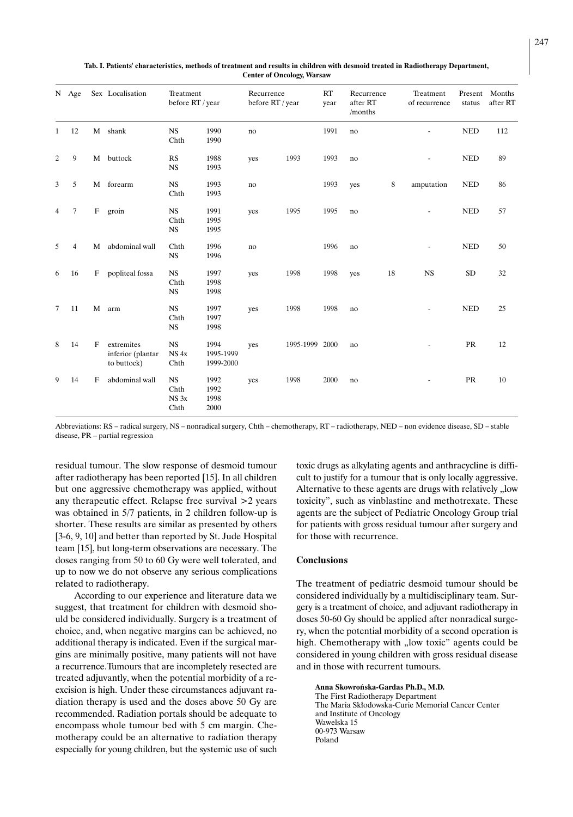|                | N Age          |              | Sex Localisation<br>M shank                    | Treatment<br>before RT / year         |                                | Recurrence<br>before RT / year |                | RT<br>year | Recurrence<br>after RT<br>/months |    | Treatment<br>of recurrence | Present<br>status | Months<br>after RT |
|----------------|----------------|--------------|------------------------------------------------|---------------------------------------|--------------------------------|--------------------------------|----------------|------------|-----------------------------------|----|----------------------------|-------------------|--------------------|
| $\mathbf{1}$   | 12             |              |                                                | <b>NS</b><br>Chth                     | 1990<br>1990                   | no                             |                | 1991       | no                                |    |                            | <b>NED</b>        | 112                |
| $\overline{c}$ | 9              |              | M buttock                                      | RS<br><b>NS</b>                       | 1988<br>1993                   | yes                            | 1993           | 1993       | no                                |    | ٠                          | <b>NED</b>        | 89                 |
| 3              | 5              |              | M forearm                                      | <b>NS</b><br>Chth                     | 1993<br>1993                   | no                             |                | 1993       | yes                               | 8  | amputation                 | <b>NED</b>        | 86                 |
| $\overline{4}$ | 7              | F            | groin                                          | <b>NS</b><br>Chth<br><b>NS</b>        | 1991<br>1995<br>1995           | yes                            | 1995           | 1995       | no                                |    | $\blacksquare$             | <b>NED</b>        | 57                 |
| 5              | $\overline{4}$ | M            | abdominal wall                                 | Chth<br><b>NS</b>                     | 1996<br>1996                   | no                             |                | 1996       | no                                |    | $\overline{\phantom{a}}$   | <b>NED</b>        | 50                 |
| 6              | 16             | F            | popliteal fossa                                | <b>NS</b><br>Chth<br><b>NS</b>        | 1997<br>1998<br>1998           | yes                            | 1998           | 1998       | yes                               | 18 | <b>NS</b>                  | <b>SD</b>         | 32                 |
| 7              | 11             | M            | arm                                            | <b>NS</b><br>Chth<br><b>NS</b>        | 1997<br>1997<br>1998           | yes                            | 1998           | 1998       | no                                |    | $\overline{\phantom{a}}$   | <b>NED</b>        | 25                 |
| 8              | 14             | $_{\rm F}$   | extremites<br>inferior (plantar<br>to buttock) | <b>NS</b><br>NS <sub>4x</sub><br>Chth | 1994<br>1995-1999<br>1999-2000 | yes                            | 1995-1999 2000 |            | no                                |    | $\blacksquare$             | PR                | 12                 |
| 9              | 14             | $\mathbf{F}$ | abdominal wall                                 | <b>NS</b><br>Chth<br>NS 3x<br>Chth    | 1992<br>1992<br>1998<br>2000   | yes                            | 1998           | 2000       | no                                |    |                            | PR                | 10                 |

**Tab. I. Patients' characteristics, methods of treatment and results in children with desmoid treated in Radiotherapy Department, Center of Oncology, Warsaw**

Abbreviations: RS – radical surgery, NS – nonradical surgery, Chth – chemotherapy, RT – radiotherapy, NED – non evidence disease, SD – stable disease, PR – partial regression

residual tumour. The slow response of desmoid tumour after radiotherapy has been reported [15]. In all children but one aggressive chemotherapy was applied, without any therapeutic effect. Relapse free survival >2 years was obtained in 5/7 patients, in 2 children follow-up is shorter. These results are similar as presented by others [3-6, 9, 10] and better than reported by St. Jude Hospital] team [15], but long-term observations are necessary. The doses ranging from 50 to 60 Gy were well tolerated, and up to now we do not observe any serious complications related to radiotherapy.

According to our experience and literature data we suggest, that treatment for children with desmoid should be considered individually. Surgery is a treatment of choice, and, when negative margins can be achieved, no additional therapy is indicated. Even if the surgical margins are minimally positive, many patients will not have a recurrence.Tumours that are incompletely resected are treated adjuvantly, when the potential morbidity of a reexcision is high. Under these circumstances adjuvant radiation therapy is used and the doses above 50 Gy are recommended. Radiation portals should be adequate to encompass whole tumour bed with 5 cm margin. Chemotherapy could be an alternative to radiation therapy especially for young children, but the systemic use of such

toxic drugs as alkylating agents and anthracycline is difficult to justify for a tumour that is only locally aggressive. Alternative to these agents are drugs with relatively "low toxicity", such as vinblastine and methotrexate. These agents are the subject of Pediatric Oncology Group trial for patients with gross residual tumour after surgery and for those with recurrence.

#### **Conclusions**

The treatment of pediatric desmoid tumour should be considered individually by a multidisciplinary team. Surgery is a treatment of choice, and adjuvant radiotherapy in doses 50-60 Gy should be applied after nonradical surgery, when the potential morbidity of a second operation is high. Chemotherapy with "low toxic" agents could be considered in young children with gross residual disease and in those with recurrent tumours.

**Anna Skowroƒska-Gardas Ph.D., M.D.** The First Radiotherapy Department The Maria Skłodowska-Curie Memorial Cancer Center and Institute of Oncology Wawelska 15 00-973 Warsaw Poland